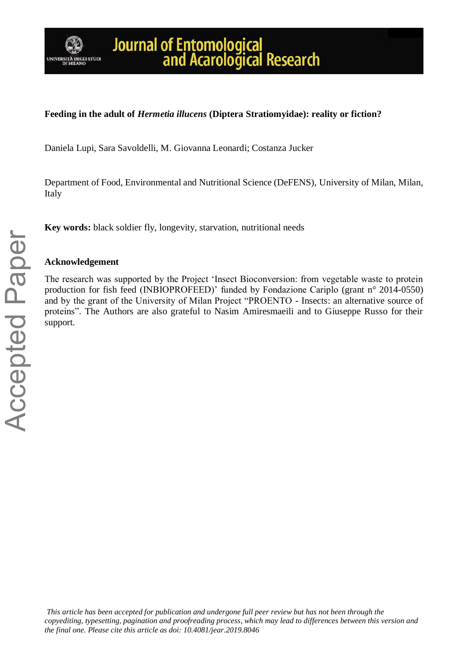

# Journal of Entomological<br>and Acarological Research

# **Feeding in the adult of** *Hermetia illucens* **(Diptera Stratiomyidae): reality or fiction?**

Daniela Lupi, Sara Savoldelli, M. Giovanna Leonardi; Costanza Jucker

Department of Food, Environmental and Nutritional Science (DeFENS), University of Milan, Milan, Italy

**Key words:** black soldier fly, longevity, starvation, nutritional needs

### **Acknowledgement**

The research was supported by the Project 'Insect Bioconversion: from vegetable waste to protein production for fish feed (INBIOPROFEED)' funded by Fondazione Cariplo (grant n° 2014-0550) and by the grant of the University of Milan Project "PROENTO - Insects: an alternative source of proteins". The Authors are also grateful to Nasim Amiresmaeili and to Giuseppe Russo for their support.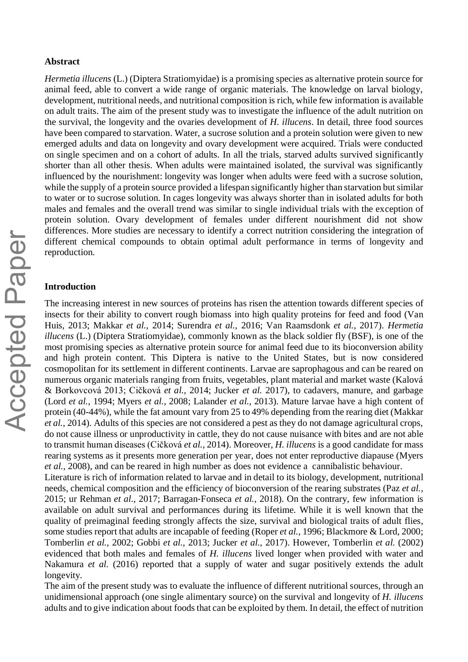#### **Abstract**

*Hermetia illucens* (L.) (Diptera Stratiomyidae) is a promising species as alternative protein source for animal feed, able to convert a wide range of organic materials. The knowledge on larval biology, development, nutritional needs, and nutritional composition is rich, while few information is available on adult traits. The aim of the present study was to investigate the influence of the adult nutrition on the survival, the longevity and the ovaries development of *H. illucens*. In detail, three food sources have been compared to starvation. Water, a sucrose solution and a protein solution were given to new emerged adults and data on longevity and ovary development were acquired. Trials were conducted on single specimen and on a cohort of adults. In all the trials, starved adults survived significantly shorter than all other thesis. When adults were maintained isolated, the survival was significantly influenced by the nourishment: longevity was longer when adults were feed with a sucrose solution, while the supply of a protein source provided a lifespan significantly higher than starvation but similar to water or to sucrose solution. In cages longevity was always shorter than in isolated adults for both males and females and the overall trend was similar to single individual trials with the exception of protein solution. Ovary development of females under different nourishment did not show differences. More studies are necessary to identify a correct nutrition considering the integration of different chemical compounds to obtain optimal adult performance in terms of longevity and reproduction.

#### **Introduction**

The increasing interest in new sources of proteins has risen the attention towards different species of insects for their ability to convert rough biomass into high quality proteins for feed and food (Van Huis, 2013; Makkar *et al.*, 2014; Surendra *et al.*, 2016; Van Raamsdonk *et al.*, 2017). *Hermetia illucens* (L.) (Diptera Stratiomyidae), commonly known as the black soldier fly (BSF), is one of the most promising species as alternative protein source for animal feed due to its bioconversion ability and high protein content. This Diptera is native to the United States, but is now considered cosmopolitan for its settlement in different continents. Larvae are saprophagous and can be reared on numerous organic materials ranging from fruits, vegetables, plant material and market waste (Kalová & Borkovcová 2013; Cičková *et al.,* 2014; Jucker *et al.* 2017), to cadavers, manure, and garbage (Lord *et al.*, 1994; Myers *et al.*, 2008; Lalander *et al.*, 2013). Mature larvae have a high content of protein (40-44%), while the fat amount vary from 25 to 49% depending from the rearing diet (Makkar *et al.*, 2014). Adults of this species are not considered a pest as they do not damage agricultural crops, do not cause illness or unproductivity in cattle, they do not cause nuisance with bites and are not able to transmit human diseases (Cičková *et al.,* 2014). Moreover, *H. illucens* is a good candidate for mass rearing systems as it presents more generation per year, does not enter reproductive diapause (Myers *et al.*, 2008), and can be reared in high number as does not evidence a cannibalistic behaviour.

Literature is rich of information related to larvae and in detail to its biology, development, nutritional needs, chemical composition and the efficiency of bioconversion of the rearing substrates (Paz *et al.,* 2015; ur Rehman *et al*., 2017; Barragan‐Fonseca *et al.*, 2018). On the contrary, few information is available on adult survival and performances during its lifetime. While it is well known that the quality of preimaginal feeding strongly affects the size, survival and biological traits of adult flies, some studies report that adults are incapable of feeding (Roper *et al.*, 1996; Blackmore & Lord, 2000; Tomberlin *et al.*, 2002; Gobbi *et al.,* 2013; Jucker *et al.*, 2017). However, Tomberlin *et al.* (2002) evidenced that both males and females of *H. illucens* lived longer when provided with water and Nakamura *et al.* (2016) reported that a supply of water and sugar positively extends the adult longevity.

The aim of the present study was to evaluate the influence of different nutritional sources, through an unidimensional approach (one single alimentary source) on the survival and longevity of *H. illucens* adults and to give indication about foods that can be exploited by them. In detail, the effect of nutrition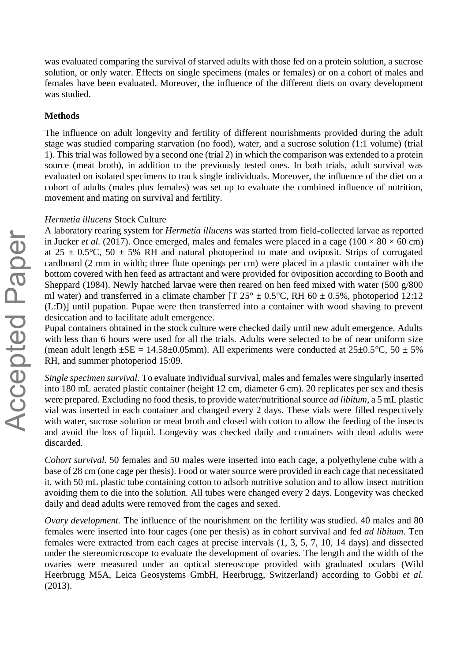was evaluated comparing the survival of starved adults with those fed on a protein solution, a sucrose solution, or only water. Effects on single specimens (males or females) or on a cohort of males and females have been evaluated. Moreover, the influence of the different diets on ovary development was studied.

#### **Methods**

The influence on adult longevity and fertility of different nourishments provided during the adult stage was studied comparing starvation (no food), water, and a sucrose solution (1:1 volume) (trial 1). This trial was followed by a second one (trial 2) in which the comparison was extended to a protein source (meat broth), in addition to the previously tested ones. In both trials, adult survival was evaluated on isolated specimens to track single individuals. Moreover, the influence of the diet on a cohort of adults (males plus females) was set up to evaluate the combined influence of nutrition, movement and mating on survival and fertility.

#### *Hermetia illucens* Stock Culture

A laboratory rearing system for *Hermetia illucens* was started from field-collected larvae as reported in Jucker *et al.* (2017). Once emerged, males and females were placed in a cage ( $100 \times 80 \times 60$  cm) at  $25 \pm 0.5^{\circ}$ C,  $50 \pm 5\%$  RH and natural photoperiod to mate and oviposit. Strips of corrugated cardboard (2 mm in width; three flute openings per cm) were placed in a plastic container with the bottom covered with hen feed as attractant and were provided for oviposition according to Booth and Sheppard (1984). Newly hatched larvae were then reared on hen feed mixed with water (500 g/800 ml water) and transferred in a climate chamber [T  $25^{\circ} \pm 0.5^{\circ}$ C, RH 60  $\pm$  0.5%, photoperiod 12:12 (L:D)] until pupation. Pupae were then transferred into a container with wood shaving to prevent desiccation and to facilitate adult emergence.

Pupal containers obtained in the stock culture were checked daily until new adult emergence. Adults with less than 6 hours were used for all the trials. Adults were selected to be of near uniform size (mean adult length  $\pm$ SE = 14.58 $\pm$ 0.05mm). All experiments were conducted at 25 $\pm$ 0.5 $\degree$ C, 50  $\pm$  5% RH, and summer photoperiod 15:09.

*Single specimen survival*. To evaluate individual survival, males and females were singularly inserted into 180 mL aerated plastic container (height 12 cm, diameter 6 cm). 20 replicates per sex and thesis were prepared. Excluding no food thesis, to provide water/nutritional source *ad libitum*, a 5 mL plastic vial was inserted in each container and changed every 2 days. These vials were filled respectively with water, sucrose solution or meat broth and closed with cotton to allow the feeding of the insects and avoid the loss of liquid. Longevity was checked daily and containers with dead adults were discarded.

*Cohort survival.* 50 females and 50 males were inserted into each cage, a polyethylene cube with a base of 28 cm (one cage per thesis). Food or water source were provided in each cage that necessitated it, with 50 mL plastic tube containing cotton to adsorb nutritive solution and to allow insect nutrition avoiding them to die into the solution. All tubes were changed every 2 days. Longevity was checked daily and dead adults were removed from the cages and sexed.

*Ovary development.* The influence of the nourishment on the fertility was studied. 40 males and 80 females were inserted into four cages (one per thesis) as in cohort survival and fed *ad libitum.* Ten females were extracted from each cages at precise intervals (1, 3, 5, 7, 10, 14 days) and dissected under the stereomicroscope to evaluate the development of ovaries. The length and the width of the ovaries were measured under an optical stereoscope provided with graduated oculars (Wild Heerbrugg M5A, Leica Geosystems GmbH, Heerbrugg, Switzerland) according to Gobbi *et al.* (2013).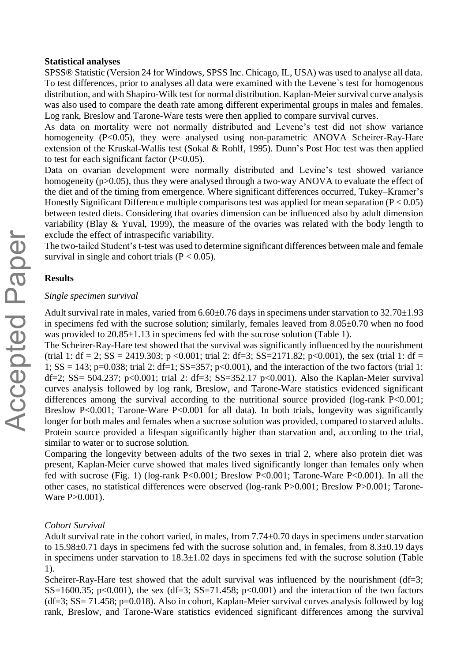#### **Statistical analyses**

SPSS® Statistic (Version 24 for Windows, SPSS Inc. Chicago, IL, USA) was used to analyse all data. To test differences, prior to analyses all data were examined with the Levene᾿s test for homogenous distribution, and with Shapiro-Wilk test for normal distribution. Kaplan-Meier survival curve analysis was also used to compare the death rate among different experimental groups in males and females. Log rank, Breslow and Tarone-Ware tests were then applied to compare survival curves.

As data on mortality were not normally distributed and Levene's test did not show variance homogeneity (P<0.05), they were analysed using non-parametric ANOVA Scheirer-Ray-Hare extension of the Kruskal-Wallis test (Sokal & Rohlf, 1995). Dunn's Post Hoc test was then applied to test for each significant factor  $(P<0.05)$ .

Data on ovarian development were normally distributed and Levine's test showed variance homogeneity (p>0.05), thus they were analysed through a two-way ANOVA to evaluate the effect of the diet and of the timing from emergence. Where significant differences occurred, Tukey–Kramer's Honestly Significant Difference multiple comparisons test was applied for mean separation ( $P < 0.05$ ) between tested diets. Considering that ovaries dimension can be influenced also by adult dimension variability (Blay  $\&$  Yuval, 1999), the measure of the ovaries was related with the body length to exclude the effect of intraspecific variability.

The two-tailed Student's t-test was used to determine significant differences between male and female survival in single and cohort trials  $(P < 0.05)$ .

#### **Results**

#### *Single specimen survival*

Adult survival rate in males, varied from  $6.60\pm0.76$  days in specimens under starvation to  $32.70\pm1.93$ in specimens fed with the sucrose solution; similarly, females leaved from 8.05±0.70 when no food was provided to  $20.85\pm1.13$  in specimens fed with the sucrose solution (Table 1).

The Scheirer-Ray-Hare test showed that the survival was significantly influenced by the nourishment (trial 1: df = 2; SS = 2419.303; p <0.001; trial 2: df=3; SS=2171.82; p <0.001), the sex (trial 1: df = 1;  $SS = 143$ ;  $p=0.038$ ; trial 2: df=1;  $SS=357$ ;  $p<0.001$ ), and the interaction of the two factors (trial 1: df=2; SS= 504.237; p<0.001; trial 2: df=3; SS=352.17 p<0.001). Also the Kaplan-Meier survival curves analysis followed by log rank, Breslow, and Tarone-Ware statistics evidenced significant differences among the survival according to the nutritional source provided (log-rank P<0.001; Breslow P<0.001; Tarone-Ware P<0.001 for all data). In both trials, longevity was significantly longer for both males and females when a sucrose solution was provided, compared to starved adults. Protein source provided a lifespan significantly higher than starvation and, according to the trial, similar to water or to sucrose solution.

Comparing the longevity between adults of the two sexes in trial 2, where also protein diet was present, Kaplan-Meier curve showed that males lived significantly longer than females only when fed with sucrose (Fig. 1) (log-rank P<0.001; Breslow P<0.001; Tarone-Ware P<0.001). In all the other cases, no statistical differences were observed (log-rank P>0.001; Breslow P>0.001; Tarone-Ware P>0.001).

#### *Cohort Survival*

Adult survival rate in the cohort varied, in males, from 7.74±0.70 days in specimens under starvation to 15.98±0.71 days in specimens fed with the sucrose solution and, in females, from 8.3±0.19 days in specimens under starvation to  $18.3 \pm 1.02$  days in specimens fed with the sucrose solution (Table 1).

Scheirer-Ray-Hare test showed that the adult survival was influenced by the nourishment (df=3; SS=1600.35; p<0.001), the sex (df=3; SS=71.458; p<0.001) and the interaction of the two factors (df=3; SS= 71.458; p=0.018). Also in cohort, Kaplan-Meier survival curves analysis followed by log rank, Breslow, and Tarone-Ware statistics evidenced significant differences among the survival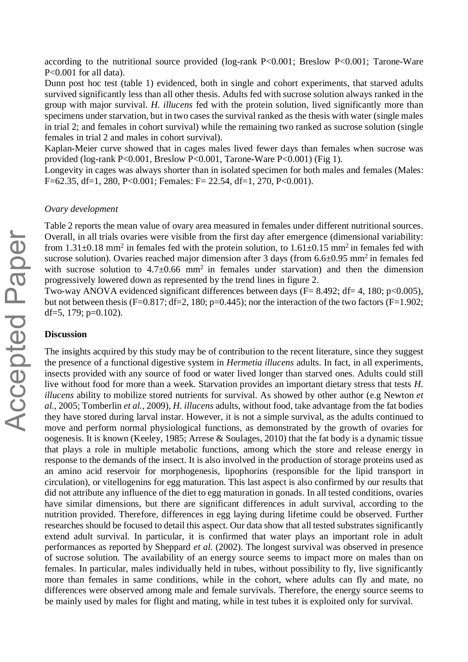according to the nutritional source provided (log-rank P<0.001; Breslow P<0.001; Tarone-Ware P<0.001 for all data).

Dunn post hoc test (table 1) evidenced, both in single and cohort experiments, that starved adults survived significantly less than all other thesis. Adults fed with sucrose solution always ranked in the group with major survival. *H. illucens* fed with the protein solution, lived significantly more than specimens under starvation, but in two cases the survival ranked as the thesis with water (single males in trial 2; and females in cohort survival) while the remaining two ranked as sucrose solution (single females in trial 2 and males in cohort survival).

Kaplan-Meier curve showed that in cages males lived fewer days than females when sucrose was provided (log-rank P<0.001, Breslow P<0.001, Tarone-Ware P<0.001) (Fig 1).

Longevity in cages was always shorter than in isolated specimen for both males and females (Males: F=62.35, df=1, 280, P<0.001; Females: F= 22.54, df=1, 270, P<0.001).

#### *Ovary development*

Table 2 reports the mean value of ovary area measured in females under different nutritional sources. Overall, in all trials ovaries were visible from the first day after emergence (dimensional variability: from  $1.31\pm0.18$  mm<sup>2</sup> in females fed with the protein solution, to  $1.61\pm0.15$  mm<sup>2</sup> in females fed with sucrose solution). Ovaries reached major dimension after 3 days (from  $6.6\pm0.95$  mm<sup>2</sup> in females fed with sucrose solution to  $4.7 \pm 0.66$  mm<sup>2</sup> in females under starvation) and then the dimension progressively lowered down as represented by the trend lines in figure 2.

Two-way ANOVA evidenced significant differences between days (F= 8.492; df= 4, 180; p<0.005), but not between thesis (F=0.817; df=2, 180; p=0.445); nor the interaction of the two factors (F=1.902; df=5, 179;  $p=0.102$ ).

#### **Discussion**

The insights acquired by this study may be of contribution to the recent literature, since they suggest the presence of a functional digestive system in *Hermetia illucens* adults. In fact, in all experiments, insects provided with any source of food or water lived longer than starved ones. Adults could still live without food for more than a week. Starvation provides an important dietary stress that tests *H*. *illucens* ability to mobilize stored nutrients for survival. As showed by other author (e.g Newton *et al.*, 2005; Tomberlin *et al.*, 2009), *H. illucens* adults, without food, take advantage from the fat bodies they have stored during larval instar. However, it is not a simple survival, as the adults continued to move and perform normal physiological functions, as demonstrated by the growth of ovaries for oogenesis. It is known (Keeley, 1985; Arrese & Soulages, 2010) that the fat body is a dynamic tissue that plays a role in multiple metabolic functions, among which the store and release energy in response to the demands of the insect. It is also involved in the production of storage proteins used as an amino acid reservoir for morphogenesis, lipophorins (responsible for the lipid transport in circulation), or vitellogenins for egg maturation. This last aspect is also confirmed by our results that did not attribute any influence of the diet to egg maturation in gonads. In all tested conditions, ovaries have similar dimensions, but there are significant differences in adult survival, according to the nutrition provided. Therefore, differences in egg laying during lifetime could be observed. Further researches should be focused to detail this aspect. Our data show that all tested substrates significantly extend adult survival. In particular, it is confirmed that water plays an important role in adult performances as reported by Sheppard *et al.* (2002). The longest survival was observed in presence of sucrose solution. The availability of an energy source seems to impact more on males than on females. In particular, males individually held in tubes, without possibility to fly, live significantly more than females in same conditions, while in the cohort, where adults can fly and mate, no differences were observed among male and female survivals. Therefore, the energy source seems to be mainly used by males for flight and mating, while in test tubes it is exploited only for survival.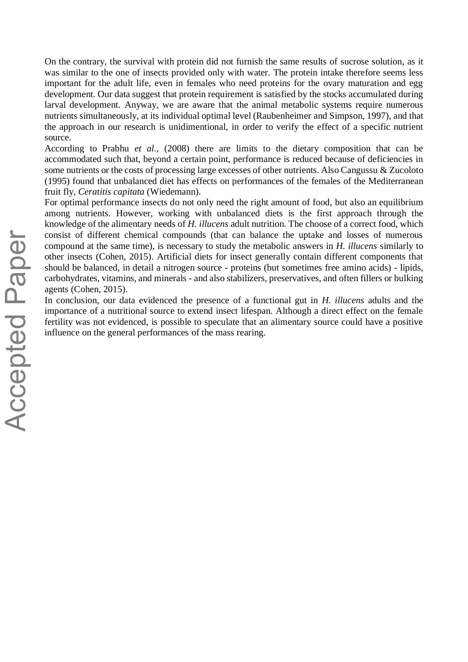On the contrary, the survival with protein did not furnish the same results of sucrose solution, as it was similar to the one of insects provided only with water. The protein intake therefore seems less important for the adult life, even in females who need proteins for the ovary maturation and egg development. Our data suggest that protein requirement is satisfied by the stocks accumulated during larval development. Anyway, we are aware that the animal metabolic systems require numerous nutrients simultaneously, at its individual optimal level (Raubenheimer and Simpson, 1997), and that the approach in our research is unidimentional, in order to verify the effect of a specific nutrient source.

According to Prabhu *et al.,* (2008) there are limits to the dietary composition that can be accommodated such that, beyond a certain point, performance is reduced because of deficiencies in some nutrients or the costs of processing large excesses of other nutrients. Also Cangussu & Zucoloto (1995) found that unbalanced diet has effects on performances of the females of the Mediterranean fruit fly, *Ceratitis capitata* (Wiedemann).

For optimal performance insects do not only need the right amount of food, but also an equilibrium among nutrients. However, working with unbalanced diets is the first approach through the knowledge of the alimentary needs of *H. illucens* adult nutrition. The choose of a correct food, which consist of different chemical compounds (that can balance the uptake and losses of numerous compound at the same time), is necessary to study the metabolic answers in *H. illucens* similarly to other insects (Cohen, 2015). Artificial diets for insect generally contain different components that should be balanced, in detail a nitrogen source - proteins (but sometimes free amino acids) - lipids, carbohydrates, vitamins, and minerals - and also stabilizers, preservatives, and often fillers or bulking agents (Cohen, 2015).

In conclusion, our data evidenced the presence of a functional gut in *H. illucens* adults and the importance of a nutritional source to extend insect lifespan. Although a direct effect on the female fertility was not evidenced, is possible to speculate that an alimentary source could have a positive influence on the general performances of the mass rearing.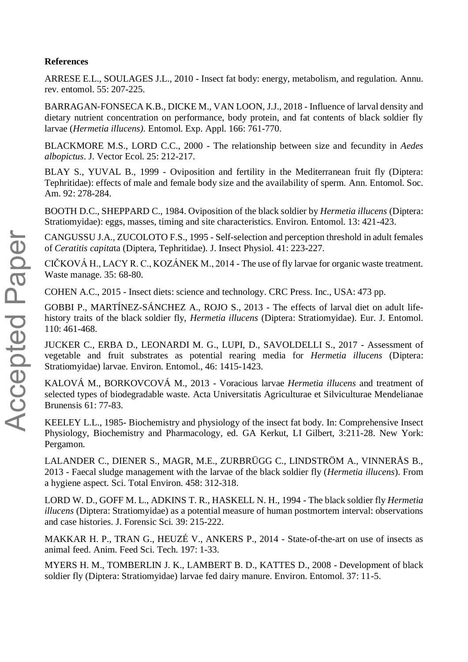## **References**

ARRESE E.L., SOULAGES J.L., 2010 - Insect fat body: energy, metabolism, and regulation. Annu. rev. entomol. 55: 207-225.

BARRAGAN‐FONSECA K.B., DICKE M., VAN LOON, J.J., 2018 - Influence of larval density and dietary nutrient concentration on performance, body protein, and fat contents of black soldier fly larvae (*Hermetia illucens).* Entomol. Exp. Appl. 166: 761-770.

BLACKMORE M.S., LORD C.C., 2000 - The relationship between size and fecundity in *Aedes albopictus*. J. Vector Ecol. 25: 212-217.

BLAY S., YUVAL B., 1999 - Oviposition and fertility in the Mediterranean fruit fly (Diptera: Tephritidae): effects of male and female body size and the availability of sperm. Ann. Entomol. Soc. Am. 92: 278-284.

BOOTH D.C., SHEPPARD C., 1984. Oviposition of the black soldier by *Hermetia illucens* (Diptera: Stratiomyidae): eggs, masses, timing and site characteristics. Environ. Entomol. 13: 421-423.

CANGUSSU J.A., ZUCOLOTO F.S., 1995 - Self-selection and perception threshold in adult females of *Ceratitis capita*ta (Diptera, Tephritidae). J. Insect Physiol*.* 41: 223-227.

CIČKOVÁ H., LACY R. C., KOZÁNEK M., 2014 - The use of fly larvae for organic waste treatment. Waste manage. 35: 68-80.

COHEN A.C., 2015 - Insect diets: science and technology. CRC Press. Inc., USA: 473 pp.

GOBBI P., MARTÍNEZ-SÁNCHEZ A., ROJO S., 2013 - The effects of larval diet on adult lifehistory traits of the black soldier fly, *Hermetia illucens* (Diptera: Stratiomyidae). Eur. J. Entomol. 110: 461-468.

JUCKER C., ERBA D., LEONARDI M. G., LUPI, D., SAVOLDELLI S., 2017 - Assessment of vegetable and fruit substrates as potential rearing media for *Hermetia illucens* (Diptera: Stratiomyidae) larvae. Environ. Entomol., 46: 1415-1423.

KALOVÁ M., BORKOVCOVÁ M., 2013 - Voracious larvae *Hermetia illucens* and treatment of selected types of biodegradable waste. Acta Universitatis Agriculturae et Silviculturae Mendelianae Brunensis 61: 77-83.

KEELEY L.L., 1985- Biochemistry and physiology of the insect fat body. In: Comprehensive Insect Physiology, Biochemistry and Pharmacology, ed. GA Kerkut, LI Gilbert, 3:211-28. New York: Pergamon.

LALANDER C., DIENER S., MAGR, M.E., ZURBRÜGG C., LINDSTRÖM A., VINNERÅS B., 2013 - Faecal sludge management with the larvae of the black soldier fly (*Hermetia illucens*). From a hygiene aspect. Sci. Total Environ. 458: 312-318.

LORD W. D., GOFF M. L., ADKINS T. R., HASKELL N. H., 1994 - The black soldier fly *Hermetia illucens* (Diptera: Stratiomyidae) as a potential measure of human postmortem interval: observations and case histories. J. Forensic Sci. 39: 215-222.

MAKKAR H. P., TRAN G., HEUZÉ V., ANKERS P., 2014 - State-of-the-art on use of insects as animal feed. Anim. Feed Sci. Tech. 197: 1-33.

MYERS H. M., TOMBERLIN J. K., LAMBERT B. D., KATTES D., 2008 - Development of black soldier fly (Diptera: Stratiomyidae) larvae fed dairy manure. Environ. Entomol. 37: 11-5.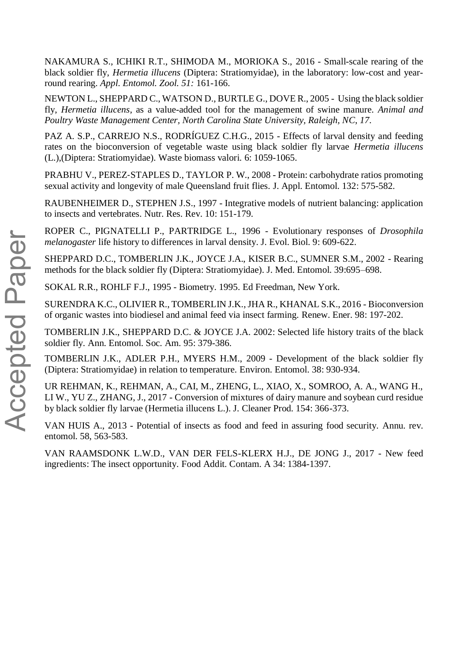NAKAMURA S., ICHIKI R.T., SHIMODA M., MORIOKA S., 2016 - Small-scale rearing of the black soldier fly, *Hermetia illucens* (Diptera: Stratiomyidae), in the laboratory: low-cost and yearround rearing. *Appl. Entomol. Zool. 51:* 161-166.

NEWTON L., SHEPPARD C., WATSON D., BURTLE G., DOVE R., 2005 - Using the black soldier fly, *Hermetia illucens*, as a value-added tool for the management of swine manure. *Animal and Poultry Waste Management Center, North Carolina State University, Raleigh, NC*, *17*.

PAZ A. S.P., CARREJO N.S., RODRÍGUEZ C.H.G., 2015 - Effects of larval density and feeding rates on the bioconversion of vegetable waste using black soldier fly larvae *Hermetia illucens* (L.),(Diptera: Stratiomyidae). Waste biomass valori. 6: 1059-1065.

PRABHU V., PEREZ‐STAPLES D., TAYLOR P. W., 2008 - Protein: carbohydrate ratios promoting sexual activity and longevity of male Queensland fruit flies. J. Appl. Entomol. 132: 575-582.

RAUBENHEIMER D., STEPHEN J.S., 1997 - Integrative models of nutrient balancing: application to insects and vertebrates. Nutr. Res. Rev. 10: 151-179.

ROPER C., PIGNATELLI P., PARTRIDGE L., 1996 - Evolutionary responses of *Drosophila melanogaster* life history to differences in larval density. J. Evol. Biol. 9: 609-622.

SHEPPARD D.C., TOMBERLIN J.K., JOYCE J.A., KISER B.C., SUMNER S.M., 2002 - Rearing methods for the black soldier fly (Diptera: Stratiomyidae). J. Med. Entomol. 39:695–698.

SOKAL R.R., ROHLF F.J., 1995 - Biometry. 1995. Ed Freedman, New York.

SURENDRA K.C., OLIVIER R., TOMBERLIN J.K., JHA R., KHANAL S.K., 2016 - Bioconversion of organic wastes into biodiesel and animal feed via insect farming. Renew. Ener. 98: 197-202.

TOMBERLIN J.K., SHEPPARD D.C. & JOYCE J.A. 2002: Selected life history traits of the black soldier fly. Ann. Entomol. Soc. Am. 95: 379-386.

TOMBERLIN J.K., ADLER P.H., MYERS H.M., 2009 - Development of the black soldier fly (Diptera: Stratiomyidae) in relation to temperature. Environ. Entomol. 38: 930-934.

UR REHMAN, K., REHMAN, A., CAI, M., ZHENG, L., XIAO, X., SOMROO, A. A., WANG H., LI W., YU Z., ZHANG, J., 2017 - Conversion of mixtures of dairy manure and soybean curd residue by black soldier fly larvae (Hermetia illucens L.). J. Cleaner Prod. 154: 366-373.

VAN HUIS A., 2013 - Potential of insects as food and feed in assuring food security. Annu. rev. entomol. 58, 563-583.

VAN RAAMSDONK L.W.D., VAN DER FELS-KLERX H.J., DE JONG J., 2017 - New feed ingredients: The insect opportunity. Food Addit. Contam. A 34: 1384-1397.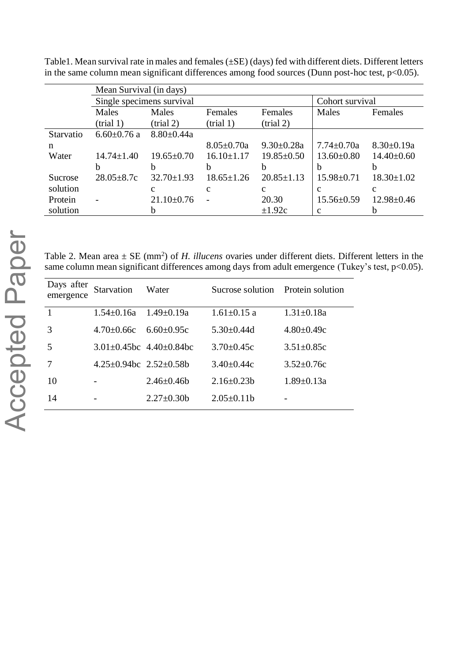|           | Mean Survival (in days)   |                     |                     |                  |                  |                  |  |
|-----------|---------------------------|---------------------|---------------------|------------------|------------------|------------------|--|
|           | Single specimens survival |                     | Cohort survival     |                  |                  |                  |  |
|           | Males                     | Males               | Females             | Females          | Males            | Females          |  |
|           | $(\text{trial } 1)$       | $(\text{trial } 2)$ | $(\text{trial } 1)$ | $-trial 2)$      |                  |                  |  |
| Starvatio | $6.60 \pm 0.76$ a         | $8.80 \pm 0.44a$    |                     |                  |                  |                  |  |
| n         |                           |                     | $8.05 \pm 0.70a$    | $9.30 \pm 0.28a$ | $7.74 \pm 0.70a$ | $8.30 \pm 0.19a$ |  |
| Water     | $14.74 \pm 1.40$          | $19.65 \pm 0.70$    | $16.10 \pm 1.17$    | $19.85 \pm 0.50$ | $13.60 \pm 0.80$ | $14.40 \pm 0.60$ |  |
|           | b                         | h                   | b                   |                  | b                |                  |  |
| Sucrose   | $28.05 + 8.7c$            | $32.70 \pm 1.93$    | $18.65 \pm 1.26$    | $20.85 \pm 1.13$ | $15.98 \pm 0.71$ | $18.30 \pm 1.02$ |  |
| solution  |                           | c                   | c                   | c                | $\mathbf{c}$     | с                |  |
| Protein   | $\overline{a}$            | $21.10 \pm 0.76$    |                     | 20.30            | $15.56 \pm 0.59$ | $12.98 \pm 0.46$ |  |
| solution  |                           |                     |                     | $\pm 1.92c$      | $\mathbf{c}$     |                  |  |

Table1. Mean survival rate in males and females (±SE) (days) fed with different diets. Different letters in the same column mean significant differences among food sources (Dunn post-hoc test, p<0.05).

Table 2. Mean area  $\pm$  SE (mm<sup>2</sup>) of *H. illucens* ovaries under different diets. Different letters in the same column mean significant differences among days from adult emergence (Tukey's test, p<0.05).

| Days after<br>emergence | Starvation                       | Water                                 | Sucrose solution Protein solution |                  |
|-------------------------|----------------------------------|---------------------------------------|-----------------------------------|------------------|
| $\mathbf{1}$            | $1.54 \pm 0.16a$                 | $1.49 \pm 0.19a$                      | $1.61 \pm 0.15$ a                 | $1.31 \pm 0.18a$ |
| 3                       | $4.70 + 0.66c$                   | $6.60 + 0.95c$                        | $5.30 \pm 0.44$ d                 | $4.80 \pm 0.49c$ |
| 5                       |                                  | $3.01 \pm 0.45$ bc $4.40 \pm 0.84$ bc | $3.70 \pm 0.45c$                  | $3.51 \pm 0.85c$ |
|                         | $4.25\pm0.94$ bc $2.52\pm0.58$ b |                                       | $3.40 \pm 0.44c$                  | $3.52 \pm 0.76c$ |
| 10                      |                                  | $2.46 \pm 0.46$                       | $2.16 \pm 0.23b$                  | $1.89 \pm 0.13a$ |
| 14                      |                                  | $2.27 \pm 0.30$                       | $2.05 \pm 0.11$                   |                  |
|                         |                                  |                                       |                                   |                  |